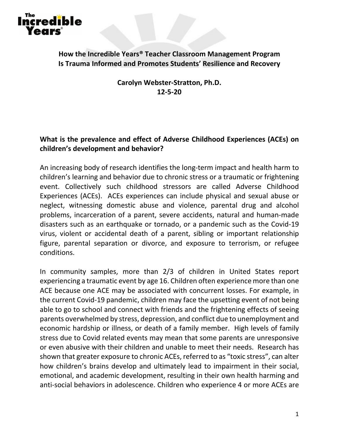# Incredible Years

**How the Incredible Years® Teacher Classroom Management Program Is Trauma Informed and Promotes Students' Resilience and Recovery**

> **Carolyn Webster-Stratton, Ph.D. 12-5-20**

# **What is the prevalence and effect of Adverse Childhood Experiences (ACEs) on children's development and behavior?**

An increasing body of research identifies the long-term impact and health harm to children's learning and behavior due to chronic stress or a traumatic or frightening event. Collectively such childhood stressors are called Adverse Childhood Experiences (ACEs). ACEs experiences can include physical and sexual abuse or neglect, witnessing domestic abuse and violence, parental drug and alcohol problems, incarceration of a parent, severe accidents, natural and human-made disasters such as an earthquake or tornado, or a pandemic such as the Covid-19 virus, violent or accidental death of a parent, sibling or important relationship figure, parental separation or divorce, and exposure to terrorism, or refugee conditions.

In community samples, more than 2/3 of children in United States report experiencing a traumatic event by age 16. Children often experience more than one ACE because one ACE may be associated with concurrent losses. For example, in the current Covid-19 pandemic, children may face the upsetting event of not being able to go to school and connect with friends and the frightening effects of seeing parents overwhelmed by stress, depression, and conflict due to unemployment and economic hardship or illness, or death of a family member. High levels of family stress due to Covid related events may mean that some parents are unresponsive or even abusive with their children and unable to meet their needs. Research has shown that greater exposure to chronic ACEs, referred to as "toxic stress", can alter how children's brains develop and ultimately lead to impairment in their social, emotional, and academic development, resulting in their own health harming and anti-social behaviors in adolescence. Children who experience 4 or more ACEs are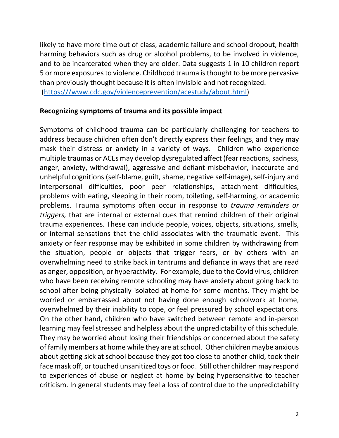likely to have more time out of class, academic failure and school dropout, health harming behaviors such as drug or alcohol problems, to be involved in violence, and to be incarcerated when they are older. Data suggests 1 in 10 children report 5 or more exposures to violence. Childhood trauma is thought to be more pervasive than previously thought because it is often invisible and not recognized. [\(https:///www.cdc.gov/violenceprevention/acestudy/about.html\)](https://www.cdc.gov/violenceprevention/acestudy/about.html)

#### **Recognizing symptoms of trauma and its possible impact**

Symptoms of childhood trauma can be particularly challenging for teachers to address because children often don't directly express their feelings, and they may mask their distress or anxiety in a variety of ways. Children who experience multiple traumas or ACEs may develop dysregulated affect (fear reactions, sadness, anger, anxiety, withdrawal), aggressive and defiant misbehavior, inaccurate and unhelpful cognitions (self-blame, guilt, shame, negative self-image), self-injury and interpersonal difficulties, poor peer relationships, attachment difficulties, problems with eating, sleeping in their room, toileting, self-harming, or academic problems. Trauma symptoms often occur in response to *trauma reminders or triggers,* that are internal or external cues that remind children of their original trauma experiences. These can include people, voices, objects, situations, smells, or internal sensations that the child associates with the traumatic event. This anxiety or fear response may be exhibited in some children by withdrawing from the situation, people or objects that trigger fears, or by others with an overwhelming need to strike back in tantrums and defiance in ways that are read as anger, opposition, or hyperactivity. For example, due to the Covid virus, children who have been receiving remote schooling may have anxiety about going back to school after being physically isolated at home for some months. They might be worried or embarrassed about not having done enough schoolwork at home, overwhelmed by their inability to cope, or feel pressured by school expectations. On the other hand, children who have switched between remote and in-person learning may feel stressed and helpless about the unpredictability of this schedule. They may be worried about losing their friendships or concerned about the safety of family members at home while they are at school. Other children maybe anxious about getting sick at school because they got too close to another child, took their face mask off, or touched unsanitized toys or food. Still other children may respond to experiences of abuse or neglect at home by being hypersensitive to teacher criticism. In general students may feel a loss of control due to the unpredictability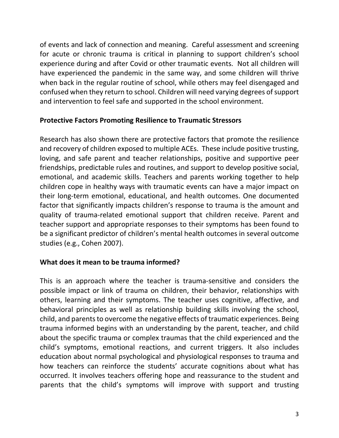of events and lack of connection and meaning. Careful assessment and screening for acute or chronic trauma is critical in planning to support children's school experience during and after Covid or other traumatic events. Not all children will have experienced the pandemic in the same way, and some children will thrive when back in the regular routine of school, while others may feel disengaged and confused when they return to school. Children will need varying degrees of support and intervention to feel safe and supported in the school environment.

# **Protective Factors Promoting Resilience to Traumatic Stressors**

Research has also shown there are protective factors that promote the resilience and recovery of children exposed to multiple ACEs. These include positive trusting, loving, and safe parent and teacher relationships, positive and supportive peer friendships, predictable rules and routines, and support to develop positive social, emotional, and academic skills. Teachers and parents working together to help children cope in healthy ways with traumatic events can have a major impact on their long-term emotional, educational, and health outcomes. One documented factor that significantly impacts children's response to trauma is the amount and quality of trauma-related emotional support that children receive. Parent and teacher support and appropriate responses to their symptoms has been found to be a significant predictor of children's mental health outcomes in several outcome studies (e.g., Cohen 2007).

# **What does it mean to be trauma informed?**

This is an approach where the teacher is trauma-sensitive and considers the possible impact or link of trauma on children, their behavior, relationships with others, learning and their symptoms. The teacher uses cognitive, affective, and behavioral principles as well as relationship building skills involving the school, child, and parents to overcome the negative effects of traumatic experiences. Being trauma informed begins with an understanding by the parent, teacher, and child about the specific trauma or complex traumas that the child experienced and the child's symptoms, emotional reactions, and current triggers. It also includes education about normal psychological and physiological responses to trauma and how teachers can reinforce the students' accurate cognitions about what has occurred. It involves teachers offering hope and reassurance to the student and parents that the child's symptoms will improve with support and trusting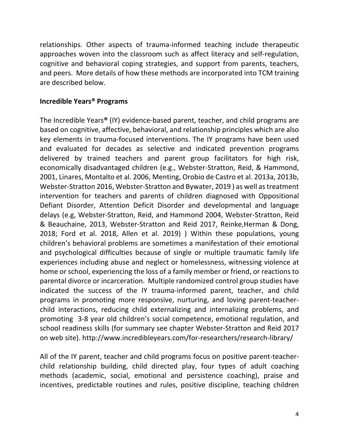relationships. Other aspects of trauma-informed teaching include therapeutic approaches woven into the classroom such as affect literacy and self-regulation, cognitive and behavioral coping strategies, and support from parents, teachers, and peers. More details of how these methods are incorporated into TCM training are described below.

## **Incredible Years® Programs**

The Incredible Years**®** (IY) evidence-based parent, teacher, and child programs are based on cognitive, affective, behavioral, and relationship principles which are also key elements in trauma-focused interventions. The IY programs have been used and evaluated for decades as selective and indicated prevention programs delivered by trained teachers and parent group facilitators for high risk, economically disadvantaged children (e.g., Webster-Stratton, Reid, & Hammond, 2001, Linares, Montalto et al. 2006, Menting, Orobio de Castro et al. 2013a, 2013b, Webster-Stratton 2016, Webster-Stratton and Bywater, 2019 ) as well as treatment intervention for teachers and parents of children diagnosed with Oppositional Defiant Disorder, Attention Deficit Disorder and developmental and language delays (e.g, Webster-Stratton, Reid, and Hammond 2004, Webster-Stratton, Reid & Beauchaine, 2013, Webster-Stratton and Reid 2017, Reinke,Herman & Dong, 2018; Ford et al. 2018, Allen et al. 2019) ) Within these populations, young children's behavioral problems are sometimes a manifestation of their emotional and psychological difficulties because of single or multiple traumatic family life experiences including abuse and neglect or homelessness, witnessing violence at home or school, experiencing the loss of a family member or friend, or reactions to parental divorce or incarceration. Multiple randomized control group studies have indicated the success of the IY trauma-informed parent, teacher, and child programs in promoting more responsive, nurturing, and loving parent-teacherchild interactions, reducing child externalizing and internalizing problems, and promoting 3-8 year old children's social competence, emotional regulation, and school readiness skills (for summary see chapter Webster-Stratton and Reid 2017 on web site). http://www.incredibleyears.com/for-researchers/research-library/

All of the IY parent, teacher and child programs focus on positive parent-teacherchild relationship building, child directed play, four types of adult coaching methods (academic, social, emotional and persistence coaching), praise and incentives, predictable routines and rules, positive discipline, teaching children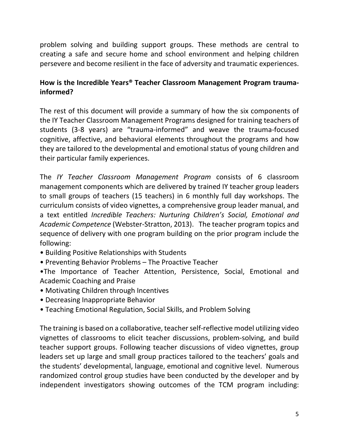problem solving and building support groups. These methods are central to creating a safe and secure home and school environment and helping children persevere and become resilient in the face of adversity and traumatic experiences.

# **How is the Incredible Years® Teacher Classroom Management Program traumainformed?**

The rest of this document will provide a summary of how the six components of the IY Teacher Classroom Management Programs designed for training teachers of students (3-8 years) are "trauma-informed" and weave the trauma-focused cognitive, affective, and behavioral elements throughout the programs and how they are tailored to the developmental and emotional status of young children and their particular family experiences.

The *IY Teacher Classroom Management Program* consists of 6 classroom management components which are delivered by trained IY teacher group leaders to small groups of teachers (15 teachers) in 6 monthly full day workshops. The curriculum consists of video vignettes, a comprehensive group leader manual, and a text entitled *Incredible Teachers: Nurturing Children's Social, Emotional and Academic Competence* (Webster-Stratton, 2013). The teacher program topics and sequence of delivery with one program building on the prior program include the following:

- Building Positive Relationships with Students
- Preventing Behavior Problems The Proactive Teacher

•The Importance of Teacher Attention, Persistence, Social, Emotional and Academic Coaching and Praise

- Motivating Children through Incentives
- Decreasing Inappropriate Behavior
- Teaching Emotional Regulation, Social Skills, and Problem Solving

The training is based on a collaborative, teacher self-reflective model utilizing video vignettes of classrooms to elicit teacher discussions, problem-solving, and build teacher support groups. Following teacher discussions of video vignettes, group leaders set up large and small group practices tailored to the teachers' goals and the students' developmental, language, emotional and cognitive level. Numerous randomized control group studies have been conducted by the developer and by independent investigators showing outcomes of the TCM program including: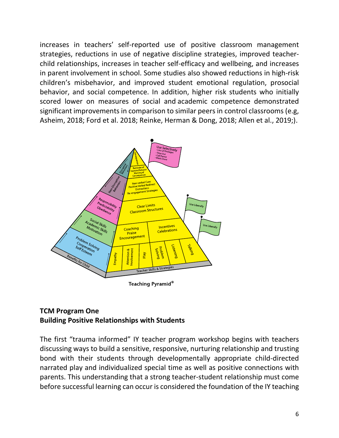increases in teachers' self-reported use of positive classroom management strategies, reductions in use of negative discipline strategies, improved teacherchild relationships, increases in teacher self-efficacy and wellbeing, and increases in parent involvement in school. Some studies also showed reductions in high-risk children's misbehavior, and improved student emotional regulation, prosocial behavior, and social competence. In addition, higher risk students who initially scored lower on measures of social and academic competence demonstrated significant improvements in comparison to similar peers in control classrooms (e.g, Asheim, 2018; Ford et al. 2018; Reinke, Herman & Dong, 2018; Allen et al., 2019;).



# **TCM Program One Building Positive Relationships with Students**

The first "trauma informed" IY teacher program workshop begins with teachers discussing ways to build a sensitive, responsive, nurturing relationship and trusting bond with their students through developmentally appropriate child-directed narrated play and individualized special time as well as positive connections with parents. This understanding that a strong teacher-student relationship must come before successful learning can occur is considered the foundation of the IY teaching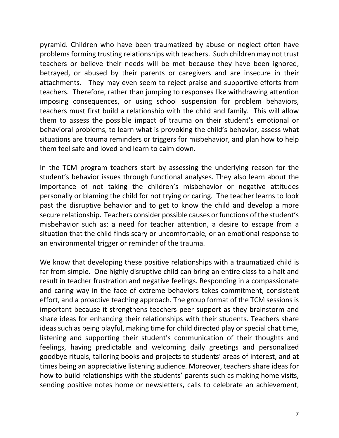pyramid. Children who have been traumatized by abuse or neglect often have problems forming trusting relationships with teachers. Such children may not trust teachers or believe their needs will be met because they have been ignored, betrayed, or abused by their parents or caregivers and are insecure in their attachments. They may even seem to reject praise and supportive efforts from teachers. Therefore, rather than jumping to responses like withdrawing attention imposing consequences, or using school suspension for problem behaviors, teachers must first build a relationship with the child and family. This will allow them to assess the possible impact of trauma on their student's emotional or behavioral problems, to learn what is provoking the child's behavior, assess what situations are trauma reminders or triggers for misbehavior, and plan how to help them feel safe and loved and learn to calm down.

In the TCM program teachers start by assessing the underlying reason for the student's behavior issues through functional analyses. They also learn about the importance of not taking the children's misbehavior or negative attitudes personally or blaming the child for not trying or caring. The teacher learns to look past the disruptive behavior and to get to know the child and develop a more secure relationship. Teachers consider possible causes or functions of the student's misbehavior such as: a need for teacher attention, a desire to escape from a situation that the child finds scary or uncomfortable, or an emotional response to an environmental trigger or reminder of the trauma.

We know that developing these positive relationships with a traumatized child is far from simple. One highly disruptive child can bring an entire class to a halt and result in teacher frustration and negative feelings. Responding in a compassionate and caring way in the face of extreme behaviors takes commitment, consistent effort, and a proactive teaching approach. The group format of the TCM sessions is important because it strengthens teachers peer support as they brainstorm and share ideas for enhancing their relationships with their students. Teachers share ideas such as being playful, making time for child directed play or special chat time, listening and supporting their student's communication of their thoughts and feelings, having predictable and welcoming daily greetings and personalized goodbye rituals, tailoring books and projects to students' areas of interest, and at times being an appreciative listening audience. Moreover, teachers share ideas for how to build relationships with the students' parents such as making home visits, sending positive notes home or newsletters, calls to celebrate an achievement,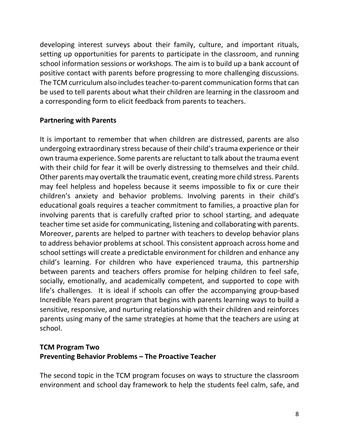developing interest surveys about their family, culture, and important rituals, setting up opportunities for parents to participate in the classroom, and running school information sessions or workshops. The aim is to build up a bank account of positive contact with parents before progressing to more challenging discussions. The TCM curriculum also includes teacher-to-parent communication forms that can be used to tell parents about what their children are learning in the classroom and a corresponding form to elicit feedback from parents to teachers.

# **Partnering with Parents**

It is important to remember that when children are distressed, parents are also undergoing extraordinary stress because of their child's trauma experience or their own trauma experience. Some parents are reluctant to talk about the trauma event with their child for fear it will be overly distressing to themselves and their child. Other parents may overtalk the traumatic event, creating more child stress. Parents may feel helpless and hopeless because it seems impossible to fix or cure their children's anxiety and behavior problems. Involving parents in their child's educational goals requires a teacher commitment to families, a proactive plan for involving parents that is carefully crafted prior to school starting, and adequate teacher time set aside for communicating, listening and collaborating with parents. Moreover, parents are helped to partner with teachers to develop behavior plans to address behavior problems at school. This consistent approach across home and school settings will create a predictable environment for children and enhance any child's learning. For children who have experienced trauma, this partnership between parents and teachers offers promise for helping children to feel safe, socially, emotionally, and academically competent, and supported to cope with life's challenges. It is ideal if schools can offer the accompanying group-based Incredible Years parent program that begins with parents learning ways to build a sensitive, responsive, and nurturing relationship with their children and reinforces parents using many of the same strategies at home that the teachers are using at school.

# **TCM Program Two Preventing Behavior Problems – The Proactive Teacher**

The second topic in the TCM program focuses on ways to structure the classroom environment and school day framework to help the students feel calm, safe, and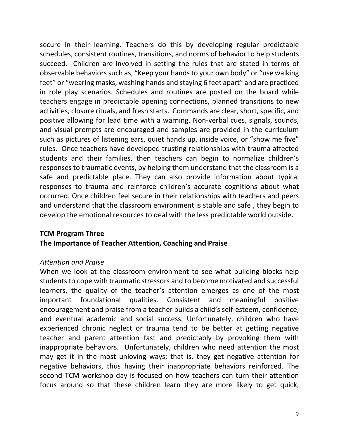secure in their learning. Teachers do this by developing regular predictable schedules, consistent routines, transitions, and norms of behavior to help students succeed. Children are involved in setting the rules that are stated in terms of observable behaviors such as, "Keep your hands to your own body" or "use walking feet" or "wearing masks, washing hands and staying 6 feet apart" and are practiced in role play scenarios. Schedules and routines are posted on the board while teachers engage in predictable opening connections, planned transitions to new activities, closure rituals, and fresh starts. Commands are clear, short, specific, and positive allowing for lead time with a warning. Non-verbal cues, signals, sounds, and visual prompts are encouraged and samples are provided in the curriculum such as pictures of listening ears, quiet hands up, inside voice, or "show me five" rules. Once teachers have developed trusting relationships with trauma affected students and their families, then teachers can begin to normalize children's responses to traumatic events, by helping them understand that the classroom is a safe and predictable place. They can also provide information about typical responses to trauma and reinforce children's accurate cognitions about what occurred. Once children feel secure in their relationships with teachers and peers and understand that the classroom environment is stable and safe , they begin to develop the emotional resources to deal with the less predictable world outside.

# **TCM Program Three The Importance of Teacher Attention, Coaching and Praise**

# *Attention and Praise*

When we look at the classroom environment to see what building blocks help students to cope with traumatic stressors and to become motivated and successful learners, the quality of the teacher's attention emerges as one of the most important foundational qualities. Consistent and meaningful positive encouragement and praise from a teacher builds a child's self-esteem, confidence, and eventual academic and social success. Unfortunately, children who have experienced chronic neglect or trauma tend to be better at getting negative teacher and parent attention fast and predictably by provoking them with inappropriate behaviors. Unfortunately, children who need attention the most may get it in the most unloving ways; that is, they get negative attention for negative behaviors, thus having their inappropriate behaviors reinforced. The second TCM workshop day is focused on how teachers can turn their attention focus around so that these children learn they are more likely to get quick,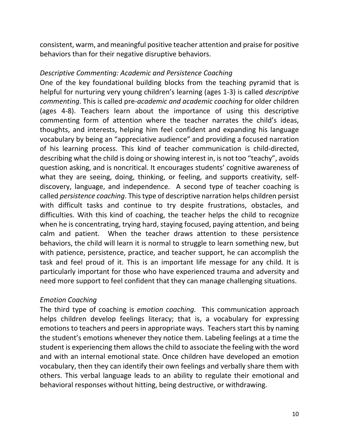consistent, warm, and meaningful positive teacher attention and praise for positive behaviors than for their negative disruptive behaviors.

## *Descriptive Commenting: Academic and Persistence Coaching*

One of the key foundational building blocks from the teaching pyramid that is helpful for nurturing very young children's learning (ages 1-3) is called *descriptive commenting*. This is called pre-*academic and academic coaching* for older children (ages 4-8). Teachers learn about the importance of using this descriptive commenting form of attention where the teacher narrates the child's ideas, thoughts, and interests, helping him feel confident and expanding his language vocabulary by being an "appreciative audience" and providing a focused narration of his learning process. This kind of teacher communication is child-directed, describing what the child is doing or showing interest in, is not too "teachy", avoids question asking, and is noncritical. It encourages students' cognitive awareness of what they are seeing, doing, thinking, or feeling, and supports creativity, selfdiscovery, language, and independence. A second type of teacher coaching is called *persistence coaching*. This type of descriptive narration helps children persist with difficult tasks and continue to try despite frustrations, obstacles, and difficulties. With this kind of coaching, the teacher helps the child to recognize when he is concentrating, trying hard, staying focused, paying attention, and being calm and patient. When the teacher draws attention to these persistence behaviors, the child will learn it is normal to struggle to learn something new, but with patience, persistence, practice, and teacher support, he can accomplish the task and feel proud of it. This is an important life message for any child. It is particularly important for those who have experienced trauma and adversity and need more support to feel confident that they can manage challenging situations.

# *Emotion Coaching*

The third type of coaching is *emotion coaching.* This communication approach helps children develop feelings literacy; that is, a vocabulary for expressing emotions to teachers and peers in appropriate ways. Teachers start this by naming the student's emotions whenever they notice them. Labeling feelings at a time the student is experiencing them allowsthe child to associate the feeling with the word and with an internal emotional state. Once children have developed an emotion vocabulary, then they can identify their own feelings and verbally share them with others. This verbal language leads to an ability to regulate their emotional and behavioral responses without hitting, being destructive, or withdrawing.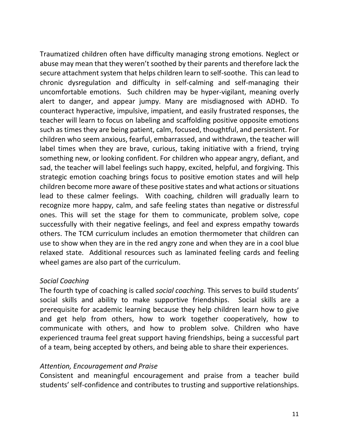Traumatized children often have difficulty managing strong emotions. Neglect or abuse may mean that they weren't soothed by their parents and therefore lack the secure attachment system that helps children learn to self-soothe. This can lead to chronic dysregulation and difficulty in self-calming and self-managing their uncomfortable emotions. Such children may be hyper-vigilant, meaning overly alert to danger, and appear jumpy. Many are misdiagnosed with ADHD. To counteract hyperactive, impulsive, impatient, and easily frustrated responses, the teacher will learn to focus on labeling and scaffolding positive opposite emotions such as times they are being patient, calm, focused, thoughtful, and persistent. For children who seem anxious, fearful, embarrassed, and withdrawn, the teacher will label times when they are brave, curious, taking initiative with a friend, trying something new, or looking confident. For children who appear angry, defiant, and sad, the teacher will label feelings such happy, excited, helpful, and forgiving. This strategic emotion coaching brings focus to positive emotion states and will help children become more aware of these positive states and what actions or situations lead to these calmer feelings. With coaching, children will gradually learn to recognize more happy, calm, and safe feeling states than negative or distressful ones. This will set the stage for them to communicate, problem solve, cope successfully with their negative feelings, and feel and express empathy towards others. The TCM curriculum includes an emotion thermometer that children can use to show when they are in the red angry zone and when they are in a cool blue relaxed state. Additional resources such as laminated feeling cards and feeling wheel games are also part of the curriculum.

# *Social Coaching*

The fourth type of coaching is called *social coaching.* This serves to build students' social skills and ability to make supportive friendships. Social skills are a prerequisite for academic learning because they help children learn how to give and get help from others, how to work together cooperatively, how to communicate with others, and how to problem solve. Children who have experienced trauma feel great support having friendships, being a successful part of a team, being accepted by others, and being able to share their experiences.

# *Attention, Encouragement and Praise*

Consistent and meaningful encouragement and praise from a teacher build students' self-confidence and contributes to trusting and supportive relationships.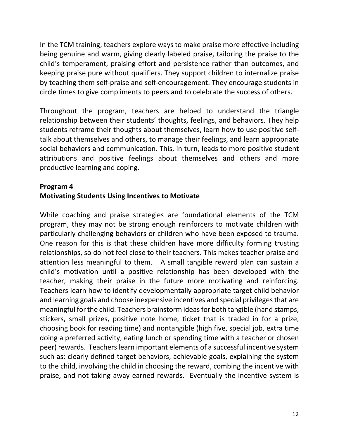In the TCM training, teachers explore ways to make praise more effective including being genuine and warm, giving clearly labeled praise, tailoring the praise to the child's temperament, praising effort and persistence rather than outcomes, and keeping praise pure without qualifiers. They support children to internalize praise by teaching them self-praise and self-encouragement. They encourage students in circle times to give compliments to peers and to celebrate the success of others.

Throughout the program, teachers are helped to understand the triangle relationship between their students' thoughts, feelings, and behaviors. They help students reframe their thoughts about themselves, learn how to use positive selftalk about themselves and others, to manage their feelings, and learn appropriate social behaviors and communication. This, in turn, leads to more positive student attributions and positive feelings about themselves and others and more productive learning and coping.

#### **Program 4 Motivating Students Using Incentives to Motivate**

While coaching and praise strategies are foundational elements of the TCM program, they may not be strong enough reinforcers to motivate children with particularly challenging behaviors or children who have been exposed to trauma. One reason for this is that these children have more difficulty forming trusting relationships, so do not feel close to their teachers. This makes teacher praise and attention less meaningful to them. A small tangible reward plan can sustain a child's motivation until a positive relationship has been developed with the teacher, making their praise in the future more motivating and reinforcing. Teachers learn how to identify developmentally appropriate target child behavior and learning goals and choose inexpensive incentives and special privileges that are meaningful for the child. Teachers brainstorm ideas for both tangible (hand stamps, stickers, small prizes, positive note home, ticket that is traded in for a prize, choosing book for reading time) and nontangible (high five, special job, extra time doing a preferred activity, eating lunch or spending time with a teacher or chosen peer) rewards. Teachers learn important elements of a successful incentive system such as: clearly defined target behaviors, achievable goals, explaining the system to the child, involving the child in choosing the reward, combing the incentive with praise, and not taking away earned rewards. Eventually the incentive system is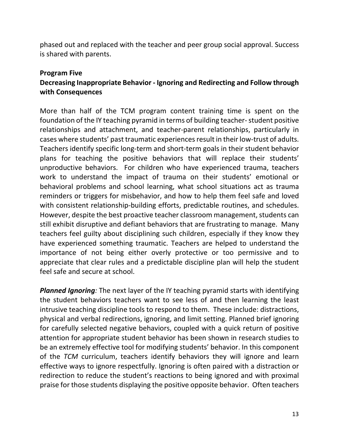phased out and replaced with the teacher and peer group social approval. Success is shared with parents.

#### **Program Five**

# **Decreasing Inappropriate Behavior - Ignoring and Redirecting and Follow through with Consequences**

More than half of the TCM program content training time is spent on the foundation of the IY teaching pyramid in terms of building teacher-student positive relationships and attachment, and teacher-parent relationships, particularly in cases where students' past traumatic experiences result in their low-trust of adults. Teachers identify specific long-term and short-term goals in their student behavior plans for teaching the positive behaviors that will replace their students' unproductive behaviors. For children who have experienced trauma, teachers work to understand the impact of trauma on their students' emotional or behavioral problems and school learning, what school situations act as trauma reminders or triggers for misbehavior, and how to help them feel safe and loved with consistent relationship-building efforts, predictable routines, and schedules. However, despite the best proactive teacher classroom management, students can still exhibit disruptive and defiant behaviors that are frustrating to manage. Many teachers feel guilty about disciplining such children, especially if they know they have experienced something traumatic. Teachers are helped to understand the importance of not being either overly protective or too permissive and to appreciate that clear rules and a predictable discipline plan will help the student feel safe and secure at school.

*Planned Ignoring:* The next layer of the IY teaching pyramid starts with identifying the student behaviors teachers want to see less of and then learning the least intrusive teaching discipline tools to respond to them. These include: distractions, physical and verbal redirections, ignoring, and limit setting. Planned brief ignoring for carefully selected negative behaviors, coupled with a quick return of positive attention for appropriate student behavior has been shown in research studies to be an extremely effective tool for modifying students' behavior. In this component of the *TCM* curriculum, teachers identify behaviors they will ignore and learn effective ways to ignore respectfully. Ignoring is often paired with a distraction or redirection to reduce the student's reactions to being ignored and with proximal praise for those students displaying the positive opposite behavior. Often teachers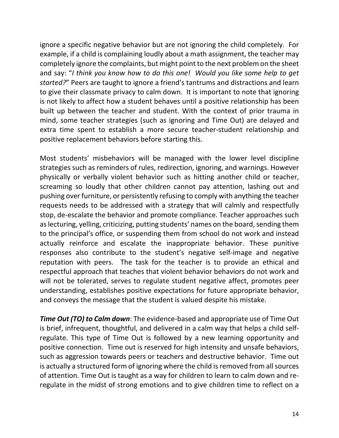ignore a specific negative behavior but are not ignoring the child completely. For example, if a child is complaining loudly about a math assignment, the teacher may completely ignore the complaints, but might point to the next problem on the sheet and say: "*I think you know how to do this one! Would you like some help to get started?*" Peers are taught to ignore a friend's tantrums and distractions and learn to give their classmate privacy to calm down. It is important to note that ignoring is not likely to affect how a student behaves until a positive relationship has been built up between the teacher and student. With the context of prior trauma in mind, some teacher strategies (such as ignoring and Time Out) are delayed and extra time spent to establish a more secure teacher-student relationship and positive replacement behaviors before starting this.

Most students' misbehaviors will be managed with the lower level discipline strategies such as reminders of rules, redirection, ignoring, and warnings. However physically or verbally violent behavior such as hitting another child or teacher, screaming so loudly that other children cannot pay attention, lashing out and pushing over furniture, or persistently refusing to comply with anything the teacher requests needs to be addressed with a strategy that will calmly and respectfully stop, de-escalate the behavior and promote compliance. Teacher approaches such as lecturing, yelling, criticizing, putting students' names on the board, sending them to the principal's office, or suspending them from school do not work and instead actually reinforce and escalate the inappropriate behavior. These punitive responses also contribute to the student's negative self-image and negative reputation with peers. The task for the teacher is to provide an ethical and respectful approach that teaches that violent behavior behaviors do not work and will not be tolerated, serves to regulate student negative affect, promotes peer understanding, establishes positive expectations for future appropriate behavior, and conveys the message that the student is valued despite his mistake.

*Time Out (TO) to Calm down*: The evidence-based and appropriate use of Time Out is brief, infrequent, thoughtful, and delivered in a calm way that helps a child selfregulate. This type of Time Out is followed by a new learning opportunity and positive connection. Time out is reserved for high intensity and unsafe behaviors, such as aggression towards peers or teachers and destructive behavior. Time out is actually a structured form of ignoring where the child is removed from all sources of attention. Time Out is taught as a way for children to learn to calm down and reregulate in the midst of strong emotions and to give children time to reflect on a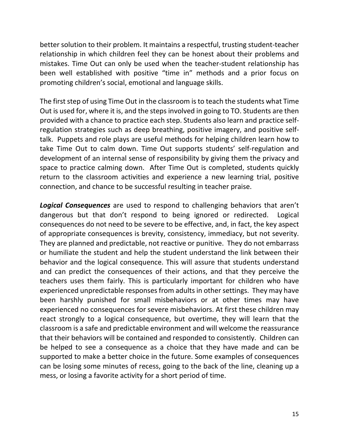better solution to their problem. It maintains a respectful, trusting student-teacher relationship in which children feel they can be honest about their problems and mistakes. Time Out can only be used when the teacher-student relationship has been well established with positive "time in" methods and a prior focus on promoting children's social, emotional and language skills.

The first step of using Time Out in the classroom is to teach the students what Time Out is used for, where it is, and the steps involved in going to TO. Students are then provided with a chance to practice each step. Students also learn and practice selfregulation strategies such as deep breathing, positive imagery, and positive selftalk. Puppets and role plays are useful methods for helping children learn how to take Time Out to calm down. Time Out supports students' self-regulation and development of an internal sense of responsibility by giving them the privacy and space to practice calming down. After Time Out is completed, students quickly return to the classroom activities and experience a new learning trial, positive connection, and chance to be successful resulting in teacher praise.

*Logical Consequences* are used to respond to challenging behaviors that aren't dangerous but that don't respond to being ignored or redirected. Logical consequences do not need to be severe to be effective, and, in fact, the key aspect of appropriate consequences is brevity, consistency, immediacy, but not severity. They are planned and predictable, not reactive or punitive. They do not embarrass or humiliate the student and help the student understand the link between their behavior and the logical consequence. This will assure that students understand and can predict the consequences of their actions, and that they perceive the teachers uses them fairly. This is particularly important for children who have experienced unpredictable responses from adults in other settings. They may have been harshly punished for small misbehaviors or at other times may have experienced no consequences for severe misbehaviors. At first these children may react strongly to a logical consequence, but overtime, they will learn that the classroom is a safe and predictable environment and will welcome the reassurance that their behaviors will be contained and responded to consistently. Children can be helped to see a consequence as a choice that they have made and can be supported to make a better choice in the future. Some examples of consequences can be losing some minutes of recess, going to the back of the line, cleaning up a mess, or losing a favorite activity for a short period of time.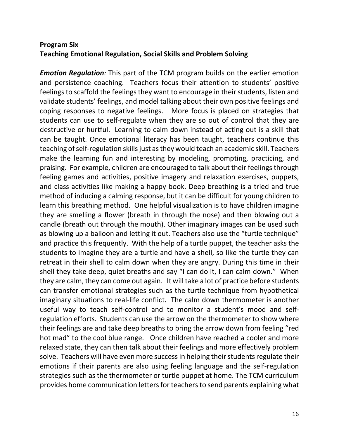# **Program Six Teaching Emotional Regulation, Social Skills and Problem Solving**

*Emotion Regulation:* This part of the TCM program builds on the earlier emotion and persistence coaching. Teachers focus their attention to students' positive feelings to scaffold the feelings they want to encourage in their students, listen and validate students' feelings, and model talking about their own positive feelings and coping responses to negative feelings. More focus is placed on strategies that students can use to self-regulate when they are so out of control that they are destructive or hurtful. Learning to calm down instead of acting out is a skill that can be taught. Once emotional literacy has been taught, teachers continue this teaching of self-regulation skills just as they would teach an academic skill. Teachers make the learning fun and interesting by modeling, prompting, practicing, and praising. For example, children are encouraged to talk about their feelings through feeling games and activities, positive imagery and relaxation exercises, puppets, and class activities like making a happy book. Deep breathing is a tried and true method of inducing a calming response, but it can be difficult for young children to learn this breathing method. One helpful visualization is to have children imagine they are smelling a flower (breath in through the nose) and then blowing out a candle (breath out through the mouth). Other imaginary images can be used such as blowing up a balloon and letting it out. Teachers also use the "turtle technique" and practice this frequently. With the help of a turtle puppet, the teacher asks the students to imagine they are a turtle and have a shell, so like the turtle they can retreat in their shell to calm down when they are angry. During this time in their shell they take deep, quiet breaths and say "I can do it, I can calm down." When they are calm, they can come out again. It will take a lot of practice before students can transfer emotional strategies such as the turtle technique from hypothetical imaginary situations to real-life conflict. The calm down thermometer is another useful way to teach self-control and to monitor a student's mood and selfregulation efforts. Students can use the arrow on the thermometer to show where their feelings are and take deep breaths to bring the arrow down from feeling "red hot mad" to the cool blue range. Once children have reached a cooler and more relaxed state, they can then talk about their feelings and more effectively problem solve. Teachers will have even more success in helping their students regulate their emotions if their parents are also using feeling language and the self-regulation strategies such as the thermometer or turtle puppet at home. The TCM curriculum provides home communication letters for teachers to send parents explaining what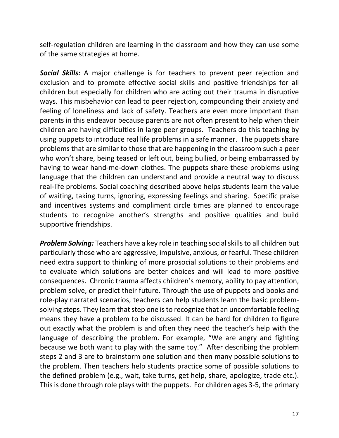self-regulation children are learning in the classroom and how they can use some of the same strategies at home.

*Social Skills:* A major challenge is for teachers to prevent peer rejection and exclusion and to promote effective social skills and positive friendships for all children but especially for children who are acting out their trauma in disruptive ways. This misbehavior can lead to peer rejection, compounding their anxiety and feeling of loneliness and lack of safety. Teachers are even more important than parents in this endeavor because parents are not often present to help when their children are having difficulties in large peer groups. Teachers do this teaching by using puppets to introduce real life problems in a safe manner. The puppets share problems that are similar to those that are happening in the classroom such a peer who won't share, being teased or left out, being bullied, or being embarrassed by having to wear hand-me-down clothes. The puppets share these problems using language that the children can understand and provide a neutral way to discuss real-life problems. Social coaching described above helps students learn the value of waiting, taking turns, ignoring, expressing feelings and sharing. Specific praise and incentives systems and compliment circle times are planned to encourage students to recognize another's strengths and positive qualities and build supportive friendships.

*Problem Solving:* Teachers have a key role in teaching social skills to all children but particularly those who are aggressive, impulsive, anxious, or fearful. These children need extra support to thinking of more prosocial solutions to their problems and to evaluate which solutions are better choices and will lead to more positive consequences. Chronic trauma affects children's memory, ability to pay attention, problem solve, or predict their future. Through the use of puppets and books and role-play narrated scenarios, teachers can help students learn the basic problemsolving steps. They learn that step one is to recognize that an uncomfortable feeling means they have a problem to be discussed. It can be hard for children to figure out exactly what the problem is and often they need the teacher's help with the language of describing the problem. For example, "We are angry and fighting because we both want to play with the same toy." After describing the problem steps 2 and 3 are to brainstorm one solution and then many possible solutions to the problem. Then teachers help students practice some of possible solutions to the defined problem (e.g., wait, take turns, get help, share, apologize, trade etc.). This is done through role plays with the puppets. For children ages 3-5, the primary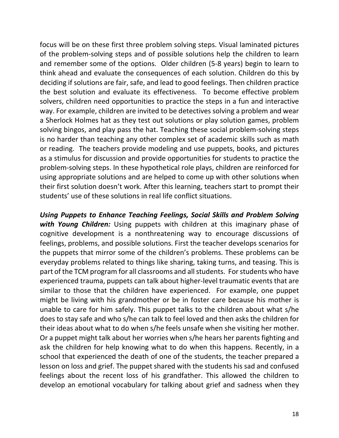focus will be on these first three problem solving steps. Visual laminated pictures of the problem-solving steps and of possible solutions help the children to learn and remember some of the options. Older children (5-8 years) begin to learn to think ahead and evaluate the consequences of each solution. Children do this by deciding if solutions are fair, safe, and lead to good feelings. Then children practice the best solution and evaluate its effectiveness. To become effective problem solvers, children need opportunities to practice the steps in a fun and interactive way. For example, children are invited to be detectives solving a problem and wear a Sherlock Holmes hat as they test out solutions or play solution games, problem solving bingos, and play pass the hat. Teaching these social problem-solving steps is no harder than teaching any other complex set of academic skills such as math or reading. The teachers provide modeling and use puppets, books, and pictures as a stimulus for discussion and provide opportunities for students to practice the problem-solving steps. In these hypothetical role plays, children are reinforced for using appropriate solutions and are helped to come up with other solutions when their first solution doesn't work. After this learning, teachers start to prompt their students' use of these solutions in real life conflict situations.

*Using Puppets to Enhance Teaching Feelings, Social Skills and Problem Solving with Young Children:* Using puppets with children at this imaginary phase of cognitive development is a nonthreatening way to encourage discussions of feelings, problems, and possible solutions. First the teacher develops scenarios for the puppets that mirror some of the children's problems. These problems can be everyday problems related to things like sharing, taking turns, and teasing. This is part of the TCM program for all classrooms and all students. For students who have experienced trauma, puppets can talk about higher-level traumatic events that are similar to those that the children have experienced. For example, one puppet might be living with his grandmother or be in foster care because his mother is unable to care for him safely. This puppet talks to the children about what s/he does to stay safe and who s/he can talk to feel loved and then asks the children for their ideas about what to do when s/he feels unsafe when she visiting her mother. Or a puppet might talk about her worries when s/he hears her parents fighting and ask the children for help knowing what to do when this happens. Recently, in a school that experienced the death of one of the students, the teacher prepared a lesson on loss and grief. The puppet shared with the students his sad and confused feelings about the recent loss of his grandfather. This allowed the children to develop an emotional vocabulary for talking about grief and sadness when they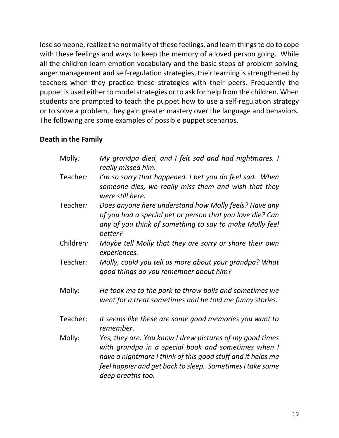lose someone, realize the normality of these feelings, and learn things to do to cope with these feelings and ways to keep the memory of a loved person going. While all the children learn emotion vocabulary and the basic steps of problem solving, anger management and self-regulation strategies, their learning is strengthened by teachers when they practice these strategies with their peers. Frequently the puppet is used either to model strategies or to ask for help from the children. When students are prompted to teach the puppet how to use a self-regulation strategy or to solve a problem, they gain greater mastery over the language and behaviors. The following are some examples of possible puppet scenarios.

# **Death in the Family**

| Molly:    | My grandpa died, and I felt sad and had nightmares. I<br>really missed him.                                                                                                                                                                                      |
|-----------|------------------------------------------------------------------------------------------------------------------------------------------------------------------------------------------------------------------------------------------------------------------|
| Teacher:  | I'm so sorry that happened. I bet you do feel sad. When<br>someone dies, we really miss them and wish that they<br>were still here.                                                                                                                              |
| Teacher:  | Does anyone here understand how Molly feels? Have any<br>of you had a special pet or person that you love die? Can<br>any of you think of something to say to make Molly feel<br>better?                                                                         |
| Children: | Maybe tell Molly that they are sorry or share their own<br>experiences.                                                                                                                                                                                          |
| Teacher:  | Molly, could you tell us more about your grandpa? What<br>good things do you remember about him?                                                                                                                                                                 |
| Molly:    | He took me to the park to throw balls and sometimes we<br>went for a treat sometimes and he told me funny stories.                                                                                                                                               |
| Teacher:  | It seems like these are some good memories you want to<br>remember.                                                                                                                                                                                              |
| Molly:    | Yes, they are. You know I drew pictures of my good times<br>with grandpa in a special book and sometimes when I<br>have a nightmare I think of this good stuff and it helps me<br>feel happier and get back to sleep. Sometimes I take some<br>deep breaths too. |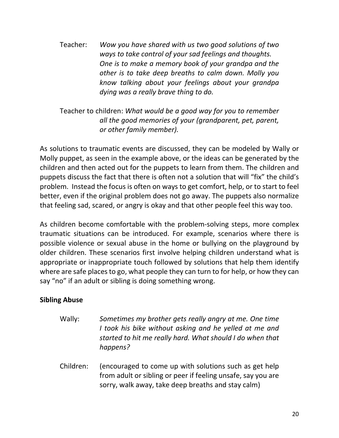Teacher: *Wow you have shared with us two good solutions of two ways to take control of your sad feelings and thoughts. One is to make a memory book of your grandpa and the other is to take deep breaths to calm down. Molly you know talking about your feelings about your grandpa dying was a really brave thing to do.*

Teacher to children: *What would be a good way for you to remember all the good memories of your (grandparent, pet, parent, or other family member).* 

As solutions to traumatic events are discussed, they can be modeled by Wally or Molly puppet, as seen in the example above, or the ideas can be generated by the children and then acted out for the puppets to learn from them. The children and puppets discuss the fact that there is often not a solution that will "fix" the child's problem. Instead the focus is often on ways to get comfort, help, or to start to feel better, even if the original problem does not go away. The puppets also normalize that feeling sad, scared, or angry is okay and that other people feel this way too.

As children become comfortable with the problem-solving steps, more complex traumatic situations can be introduced. For example, scenarios where there is possible violence or sexual abuse in the home or bullying on the playground by older children. These scenarios first involve helping children understand what is appropriate or inappropriate touch followed by solutions that help them identify where are safe places to go, what people they can turn to for help, or how they can say "no" if an adult or sibling is doing something wrong.

# **Sibling Abuse**

- Wally: *Sometimes my brother gets really angry at me. One time I took his bike without asking and he yelled at me and started to hit me really hard. What should I do when that happens?*
- Children: (encouraged to come up with solutions such as get help from adult or sibling or peer if feeling unsafe, say you are sorry, walk away, take deep breaths and stay calm)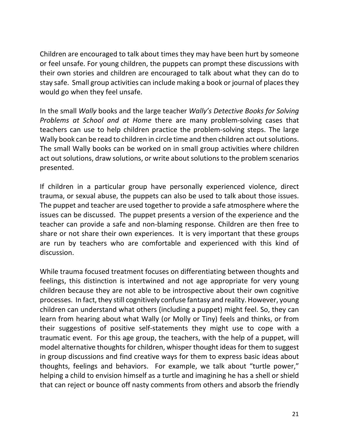Children are encouraged to talk about times they may have been hurt by someone or feel unsafe. For young children, the puppets can prompt these discussions with their own stories and children are encouraged to talk about what they can do to stay safe. Small group activities can include making a book or journal of places they would go when they feel unsafe.

In the small *Wally* books and the large teacher *Wally's Detective Books for Solving Problems at School and at Home* there are many problem-solving cases that teachers can use to help children practice the problem-solving steps. The large Wally book can be read to children in circle time and then children act out solutions. The small Wally books can be worked on in small group activities where children act out solutions, draw solutions, or write about solutions to the problem scenarios presented.

If children in a particular group have personally experienced violence, direct trauma, or sexual abuse, the puppets can also be used to talk about those issues. The puppet and teacher are used together to provide a safe atmosphere where the issues can be discussed. The puppet presents a version of the experience and the teacher can provide a safe and non-blaming response. Children are then free to share or not share their own experiences. It is very important that these groups are run by teachers who are comfortable and experienced with this kind of discussion.

While trauma focused treatment focuses on differentiating between thoughts and feelings, this distinction is intertwined and not age appropriate for very young children because they are not able to be introspective about their own cognitive processes. In fact, they still cognitively confuse fantasy and reality. However, young children can understand what others (including a puppet) might feel. So, they can learn from hearing about what Wally (or Molly or Tiny) feels and thinks, or from their suggestions of positive self-statements they might use to cope with a traumatic event. For this age group, the teachers, with the help of a puppet, will model alternative thoughts for children, whisper thought ideas for them to suggest in group discussions and find creative ways for them to express basic ideas about thoughts, feelings and behaviors. For example, we talk about "turtle power," helping a child to envision himself as a turtle and imagining he has a shell or shield that can reject or bounce off nasty comments from others and absorb the friendly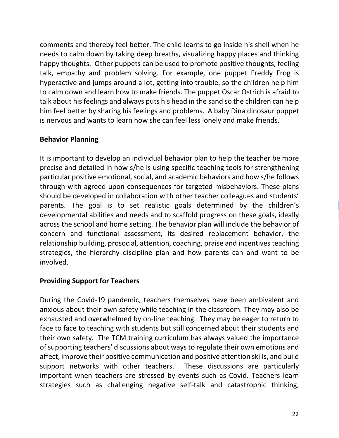comments and thereby feel better. The child learns to go inside his shell when he needs to calm down by taking deep breaths, visualizing happy places and thinking happy thoughts. Other puppets can be used to promote positive thoughts, feeling talk, empathy and problem solving. For example, one puppet Freddy Frog is hyperactive and jumps around a lot, getting into trouble, so the children help him to calm down and learn how to make friends. The puppet Oscar Ostrich is afraid to talk about his feelings and always puts his head in the sand so the children can help him feel better by sharing his feelings and problems. A baby Dina dinosaur puppet is nervous and wants to learn how she can feel less lonely and make friends.

# **Behavior Planning**

It is important to develop an individual behavior plan to help the teacher be more precise and detailed in how s/he is using specific teaching tools for strengthening particular positive emotional, social, and academic behaviors and how s/he follows through with agreed upon consequences for targeted misbehaviors. These plans should be developed in collaboration with other teacher colleagues and students' parents. The goal is to set realistic goals determined by the children's developmental abilities and needs and to scaffold progress on these goals, ideally across the school and home setting. The behavior plan will include the behavior of concern and functional assessment, its desired replacement behavior, the relationship building, prosocial, attention, coaching, praise and incentives teaching strategies, the hierarchy discipline plan and how parents can and want to be involved.

# **Providing Support for Teachers**

During the Covid-19 pandemic, teachers themselves have been ambivalent and anxious about their own safety while teaching in the classroom. They may also be exhausted and overwhelmed by on-line teaching. They may be eager to return to face to face to teaching with students but still concerned about their students and their own safety. The TCM training curriculum has always valued the importance of supporting teachers' discussions about ways to regulate their own emotions and affect, improve their positive communication and positive attention skills, and build support networks with other teachers. These discussions are particularly important when teachers are stressed by events such as Covid. Teachers learn strategies such as challenging negative self-talk and catastrophic thinking,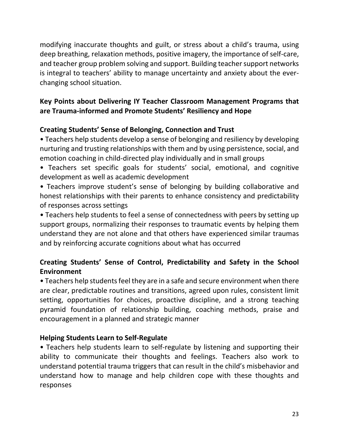modifying inaccurate thoughts and guilt, or stress about a child's trauma, using deep breathing, relaxation methods, positive imagery, the importance of self-care, and teacher group problem solving and support. Building teacher support networks is integral to teachers' ability to manage uncertainty and anxiety about the everchanging school situation.

# **Key Points about Delivering IY Teacher Classroom Management Programs that are Trauma-informed and Promote Students' Resiliency and Hope**

# **Creating Students' Sense of Belonging, Connection and Trust**

• Teachers help students develop a sense of belonging and resiliency by developing nurturing and trusting relationships with them and by using persistence, social, and emotion coaching in child-directed play individually and in small groups

• Teachers set specific goals for students' social, emotional, and cognitive development as well as academic development

• Teachers improve student's sense of belonging by building collaborative and honest relationships with their parents to enhance consistency and predictability of responses across settings

• Teachers help students to feel a sense of connectedness with peers by setting up support groups, normalizing their responses to traumatic events by helping them understand they are not alone and that others have experienced similar traumas and by reinforcing accurate cognitions about what has occurred

# **Creating Students' Sense of Control, Predictability and Safety in the School Environment**

• Teachers help students feel they are in a safe and secure environment when there are clear, predictable routines and transitions, agreed upon rules, consistent limit setting, opportunities for choices, proactive discipline, and a strong teaching pyramid foundation of relationship building, coaching methods, praise and encouragement in a planned and strategic manner

# **Helping Students Learn to Self-Regulate**

• Teachers help students learn to self-regulate by listening and supporting their ability to communicate their thoughts and feelings. Teachers also work to understand potential trauma triggers that can result in the child's misbehavior and understand how to manage and help children cope with these thoughts and responses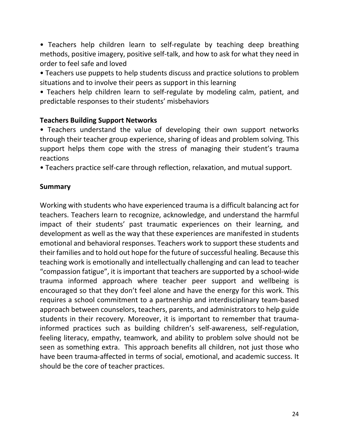• Teachers help children learn to self-regulate by teaching deep breathing methods, positive imagery, positive self-talk, and how to ask for what they need in order to feel safe and loved

• Teachers use puppets to help students discuss and practice solutions to problem situations and to involve their peers as support in this learning

• Teachers help children learn to self-regulate by modeling calm, patient, and predictable responses to their students' misbehaviors

# **Teachers Building Support Networks**

• Teachers understand the value of developing their own support networks through their teacher group experience, sharing of ideas and problem solving. This support helps them cope with the stress of managing their student's trauma reactions

• Teachers practice self-care through reflection, relaxation, and mutual support.

# **Summary**

Working with students who have experienced trauma is a difficult balancing act for teachers. Teachers learn to recognize, acknowledge, and understand the harmful impact of their students' past traumatic experiences on their learning, and development as well as the way that these experiences are manifested in students emotional and behavioral responses. Teachers work to support these students and their families and to hold out hope for the future of successful healing. Because this teaching work is emotionally and intellectually challenging and can lead to teacher "compassion fatigue", it is important that teachers are supported by a school-wide trauma informed approach where teacher peer support and wellbeing is encouraged so that they don't feel alone and have the energy for this work. This requires a school commitment to a partnership and interdisciplinary team-based approach between counselors, teachers, parents, and administrators to help guide students in their recovery. Moreover, it is important to remember that traumainformed practices such as building children's self-awareness, self-regulation, feeling literacy, empathy, teamwork, and ability to problem solve should not be seen as something extra. This approach benefits all children, not just those who have been trauma-affected in terms of social, emotional, and academic success. It should be the core of teacher practices.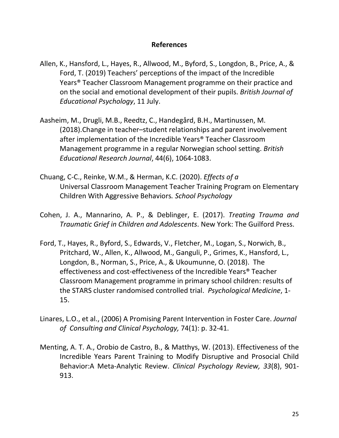## **References**

- Allen, K., Hansford, L., Hayes, R., Allwood, M., Byford, S., Longdon, B., Price, A., & Ford, T. (2019) Teachers' perceptions of the impact of the Incredible Years® Teacher Classroom Management programme on their practice and on the social and emotional development of their pupils. *British Journal of Educational Psychology*, 11 July.
- Aasheim, M., Drugli, M.B., Reedtz, C., Handegård, B.H., Martinussen, M. (2018).Change in teacher–student relationships and parent involvement after implementation of the Incredible Years® Teacher Classroom Management programme in a regular Norwegian school setting. *British Educational Research Journal*, 44(6), 1064-1083.
- Chuang, C-C., Reinke, W.M., & Herman, K.C. (2020). *Effects of a*  Universal Classroom Management Teacher Training Program on Elementary Children With Aggressive Behaviors*. School Psychology*
- Cohen, J. A., Mannarino, A. P., & Deblinger, E. (2017). *Treating Trauma and Traumatic Grief in Children and Adolescents*. New York: The Guilford Press.
- Ford, T., Hayes, R., Byford, S., Edwards, V., Fletcher, M., Logan, S., Norwich, B., Pritchard, W., Allen, K., Allwood, M., Ganguli, P., Grimes, K., Hansford, L., Longdon, B., Norman, S., Price, A., & Ukoumunne, O. (2018). The effectiveness and cost-effectiveness of the Incredible Years® Teacher Classroom Management programme in primary school children: results of the STARS cluster randomised controlled trial. *Psychological Medicine*, 1- 15.
- Linares, L.O., et al., (2006) A Promising Parent Intervention in Foster Care. *Journal of Consulting and Clinical Psychology,* 74(1): p. 32-41.
- Menting, A. T. A., Orobio de Castro, B., & Matthys, W. (2013). Effectiveness of the Incredible Years Parent Training to Modify Disruptive and Prosocial Child Behavior:A Meta-Analytic Review. *Clinical Psychology Review, 33*(8), 901- 913.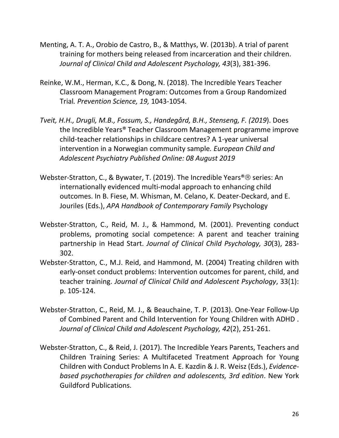- Menting, A. T. A., Orobio de Castro, B., & Matthys, W. (2013b). A trial of parent training for mothers being released from incarceration and their children. *Journal of Clinical Child and Adolescent Psychology, 43*(3), 381-396.
- Reinke, W.M., Herman, K.C., & Dong, N. (2018). The Incredible Years Teacher Classroom Management Program: Outcomes from a Group Randomized Trial*. Prevention Science, 19,* 1043-1054.
- *Tveit, H.H., Drugli, M.B., Fossum, S., Handegård, B.H., Stenseng, F. (2019*). Does the Incredible Years® Teacher Classroom Management programme improve child-teacher relationships in childcare centres? A 1-year universal intervention in a Norwegian community sample*. European Child and Adolescent Psychiatry Published Online: 08 August 2019*
- Webster-Stratton, C., & Bywater, T. (2019). The Incredible Years®<sup>®</sup> series: An internationally evidenced multi-modal approach to enhancing child outcomes. In B. Fiese, M. Whisman, M. Celano, K. Deater-Deckard, and E. Jouriles (Eds.), *APA Handbook of Contemporary Family* Psychology
- Webster-Stratton, C., Reid, M. J., & Hammond, M. (2001). Preventing conduct problems, promoting social competence: A parent and teacher training partnership in Head Start. *Journal of Clinical Child Psychology, 30*(3), 283- 302.
- Webster-Stratton, C., M.J. Reid, and Hammond, M. (2004) Treating children with early-onset conduct problems: Intervention outcomes for parent, child, and teacher training. *Journal of Clinical Child and Adolescent Psychology*, 33(1): p. 105-124.
- Webster-Stratton, C., Reid, M. J., & Beauchaine, T. P. (2013). One-Year Follow-Up of Combined Parent and Child Intervention for Young Children with ADHD . *Journal of Clinical Child and Adolescent Psychology, 42*(2), 251-261.
- Webster-Stratton, C., & Reid, J. (2017). The Incredible Years Parents, Teachers and Children Training Series: A Multifaceted Treatment Approach for Young Children with Conduct Problems In A. E. Kazdin & J. R. Weisz (Eds.), *Evidencebased psychotherapies for children and adolescents, 3rd edition*. New York Guildford Publications.